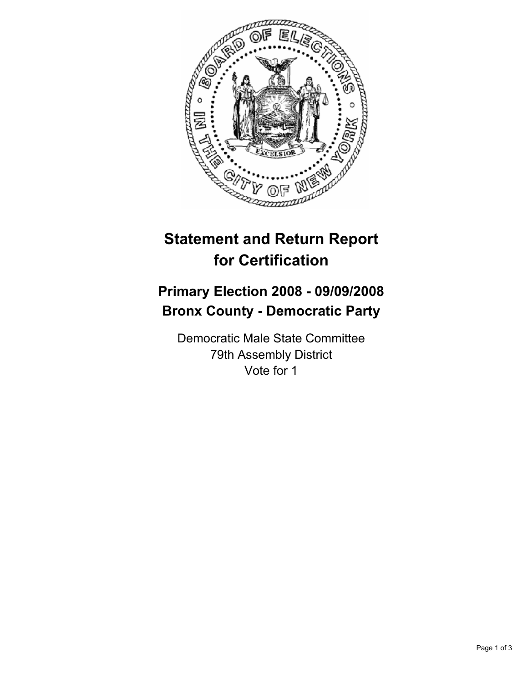

## **Statement and Return Report for Certification**

## **Primary Election 2008 - 09/09/2008 Bronx County - Democratic Party**

Democratic Male State Committee 79th Assembly District Vote for 1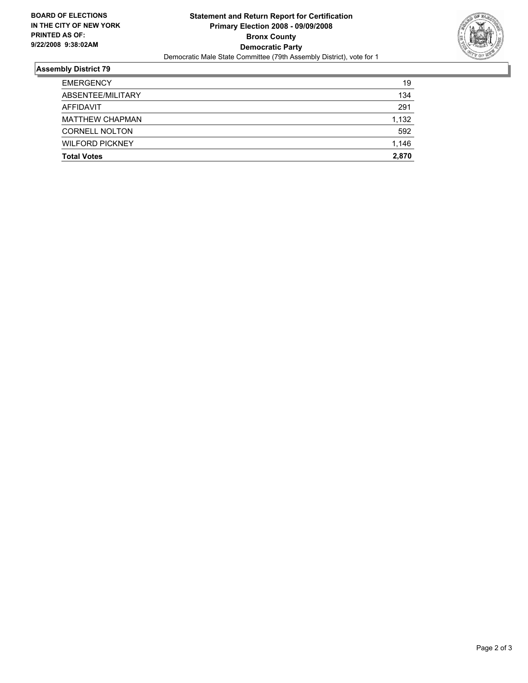

## **Assembly District 79**

| <b>Total Votes</b>     | 2,870 |
|------------------------|-------|
| <b>WILFORD PICKNEY</b> | 1,146 |
| <b>CORNELL NOLTON</b>  | 592   |
| <b>MATTHEW CHAPMAN</b> | 1,132 |
| AFFIDAVIT              | 291   |
| ABSENTEE/MILITARY      | 134   |
| <b>EMERGENCY</b>       | 19    |